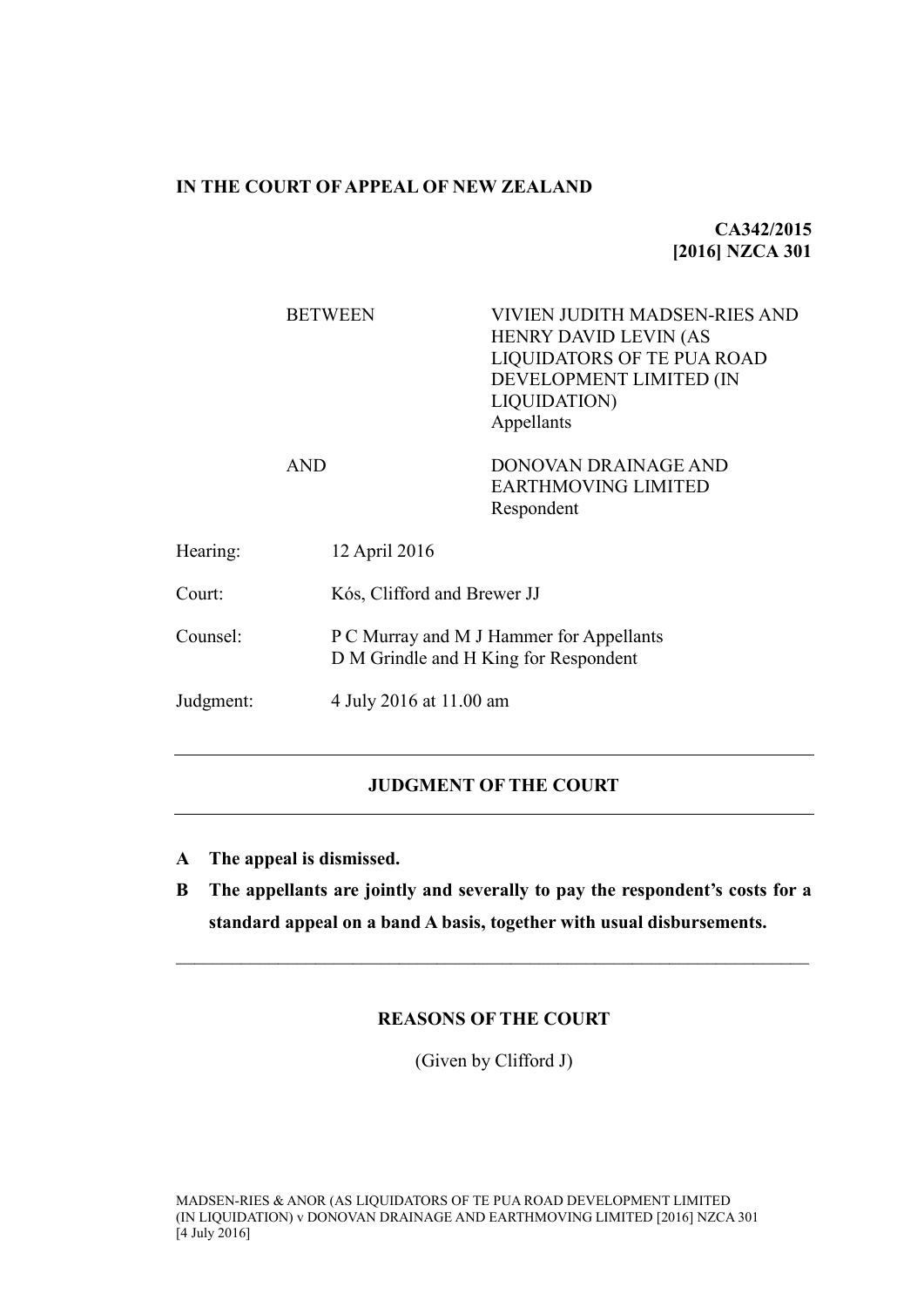# **IN THE COURT OF APPEAL OF NEW ZEALAND**

**CA342/2015 [2016] NZCA 301**

|           | <b>BETWEEN</b> | VIVIEN JUDITH MADSEN-RIES AND<br><b>HENRY DAVID LEVIN (AS</b><br><b>LIQUIDATORS OF TE PUA ROAD</b><br>DEVELOPMENT LIMITED (IN<br><b>LIQUIDATION)</b><br>Appellants |  |
|-----------|----------------|--------------------------------------------------------------------------------------------------------------------------------------------------------------------|--|
|           | <b>AND</b>     | DONOVAN DRAINAGE AND<br><b>EARTHMOVING LIMITED</b><br>Respondent                                                                                                   |  |
| Hearing:  | 12 April 2016  |                                                                                                                                                                    |  |
| Court:    |                | Kós, Clifford and Brewer JJ                                                                                                                                        |  |
| Counsel:  |                | P C Murray and M J Hammer for Appellants<br>D M Grindle and H King for Respondent                                                                                  |  |
| Judgment: |                | 4 July 2016 at 11.00 am                                                                                                                                            |  |

# **JUDGMENT OF THE COURT**

- **A The appeal is dismissed.**
- **B The appellants are jointly and severally to pay the respondent's costs for a standard appeal on a band A basis, together with usual disbursements.**

 $\mathcal{L}_\mathcal{L} = \{ \mathcal{L}_\mathcal{L} = \{ \mathcal{L}_\mathcal{L} = \{ \mathcal{L}_\mathcal{L} = \{ \mathcal{L}_\mathcal{L} = \{ \mathcal{L}_\mathcal{L} = \{ \mathcal{L}_\mathcal{L} = \{ \mathcal{L}_\mathcal{L} = \{ \mathcal{L}_\mathcal{L} = \{ \mathcal{L}_\mathcal{L} = \{ \mathcal{L}_\mathcal{L} = \{ \mathcal{L}_\mathcal{L} = \{ \mathcal{L}_\mathcal{L} = \{ \mathcal{L}_\mathcal{L} = \{ \mathcal{L}_\mathcal{$ 

# **REASONS OF THE COURT**

(Given by Clifford J)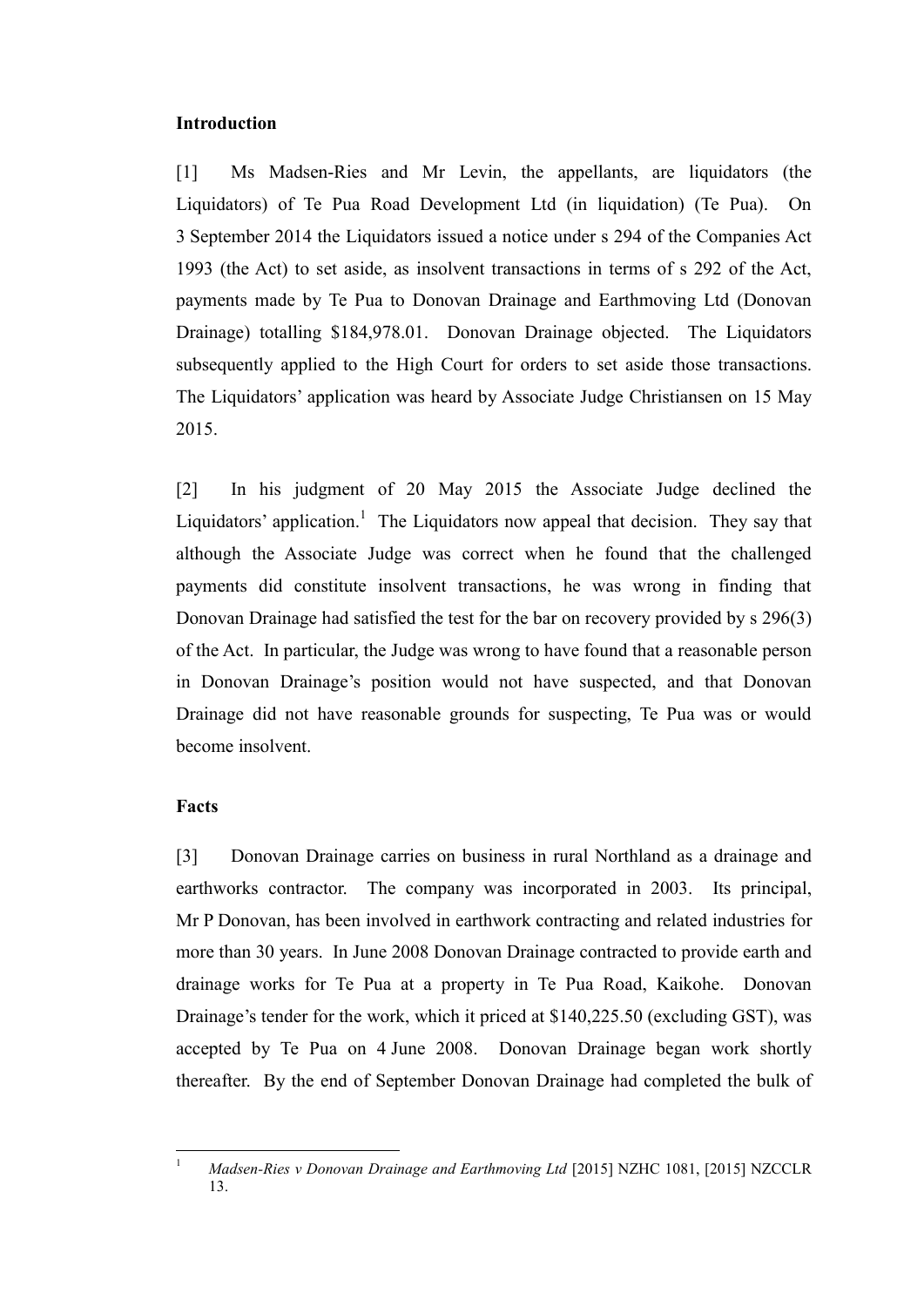### **Introduction**

[1] Ms Madsen-Ries and Mr Levin, the appellants, are liquidators (the Liquidators) of Te Pua Road Development Ltd (in liquidation) (Te Pua). On 3 September 2014 the Liquidators issued a notice under s 294 of the Companies Act 1993 (the Act) to set aside, as insolvent transactions in terms of s 292 of the Act, payments made by Te Pua to Donovan Drainage and Earthmoving Ltd (Donovan Drainage) totalling \$184,978.01. Donovan Drainage objected. The Liquidators subsequently applied to the High Court for orders to set aside those transactions. The Liquidators' application was heard by Associate Judge Christiansen on 15 May 2015.

[2] In his judgment of 20 May 2015 the Associate Judge declined the Liquidators' application.<sup>1</sup> The Liquidators now appeal that decision. They say that although the Associate Judge was correct when he found that the challenged payments did constitute insolvent transactions, he was wrong in finding that Donovan Drainage had satisfied the test for the bar on recovery provided by s 296(3) of the Act. In particular, the Judge was wrong to have found that a reasonable person in Donovan Drainage's position would not have suspected, and that Donovan Drainage did not have reasonable grounds for suspecting, Te Pua was or would become insolvent.

### **Facts**

[3] Donovan Drainage carries on business in rural Northland as a drainage and earthworks contractor. The company was incorporated in 2003. Its principal, Mr P Donovan, has been involved in earthwork contracting and related industries for more than 30 years. In June 2008 Donovan Drainage contracted to provide earth and drainage works for Te Pua at a property in Te Pua Road, Kaikohe. Donovan Drainage's tender for the work, which it priced at \$140,225.50 (excluding GST), was accepted by Te Pua on 4 June 2008. Donovan Drainage began work shortly thereafter. By the end of September Donovan Drainage had completed the bulk of

 $\overline{1}$ <sup>1</sup> *Madsen-Ries v Donovan Drainage and Earthmoving Ltd* [2015] NZHC 1081, [2015] NZCCLR 13.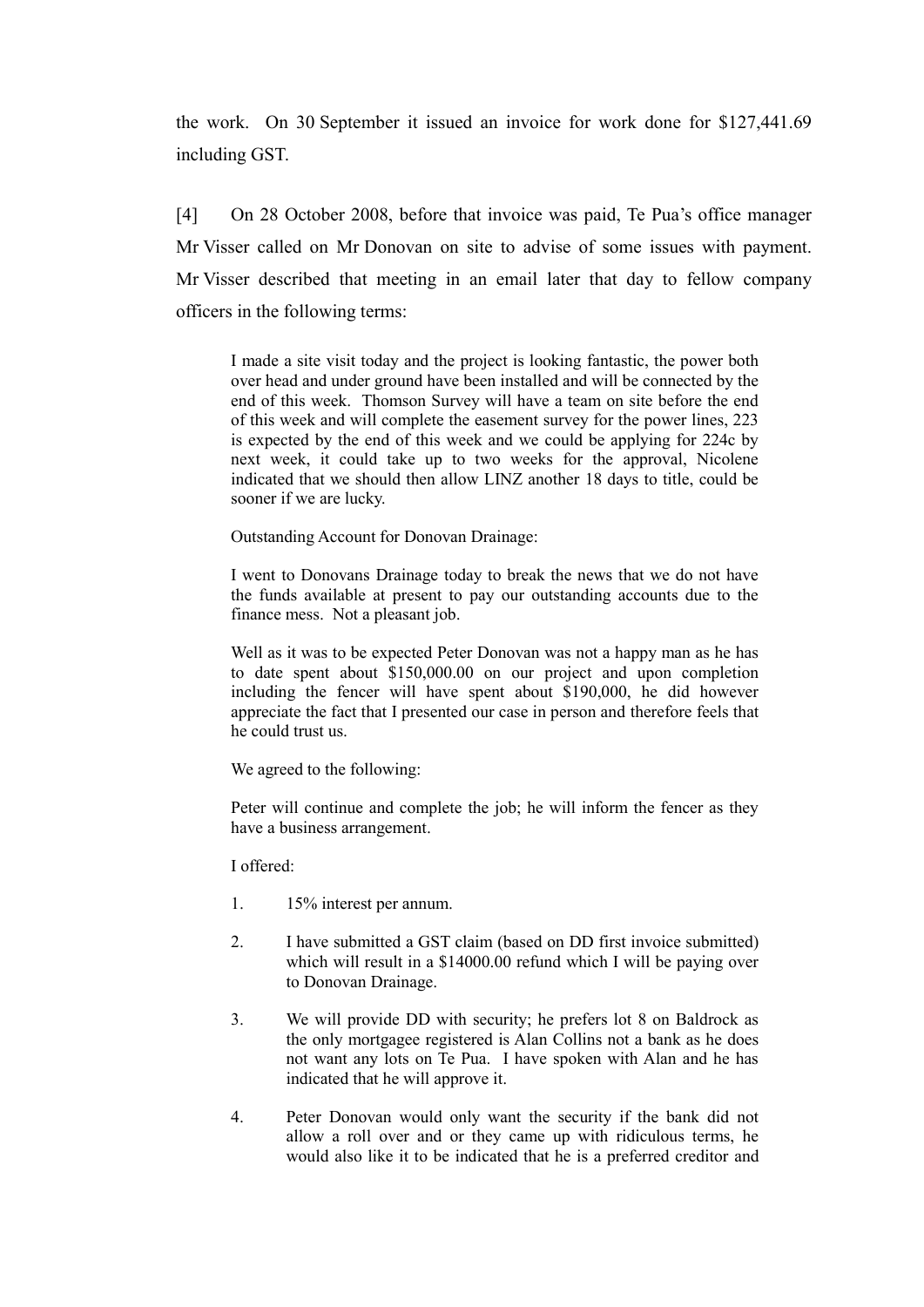the work. On 30 September it issued an invoice for work done for \$127,441.69 including GST.

[4] On 28 October 2008, before that invoice was paid, Te Pua's office manager Mr Visser called on Mr Donovan on site to advise of some issues with payment. Mr Visser described that meeting in an email later that day to fellow company officers in the following terms:

I made a site visit today and the project is looking fantastic, the power both over head and under ground have been installed and will be connected by the end of this week. Thomson Survey will have a team on site before the end of this week and will complete the easement survey for the power lines, 223 is expected by the end of this week and we could be applying for 224c by next week, it could take up to two weeks for the approval, Nicolene indicated that we should then allow LINZ another 18 days to title, could be sooner if we are lucky.

Outstanding Account for Donovan Drainage:

I went to Donovans Drainage today to break the news that we do not have the funds available at present to pay our outstanding accounts due to the finance mess. Not a pleasant job.

Well as it was to be expected Peter Donovan was not a happy man as he has to date spent about \$150,000.00 on our project and upon completion including the fencer will have spent about \$190,000, he did however appreciate the fact that I presented our case in person and therefore feels that he could trust us.

We agreed to the following:

Peter will continue and complete the job; he will inform the fencer as they have a business arrangement.

I offered:

- 1. 15% interest per annum.
- 2. I have submitted a GST claim (based on DD first invoice submitted) which will result in a \$14000.00 refund which I will be paying over to Donovan Drainage.
- 3. We will provide DD with security; he prefers lot 8 on Baldrock as the only mortgagee registered is Alan Collins not a bank as he does not want any lots on Te Pua. I have spoken with Alan and he has indicated that he will approve it.
- 4. Peter Donovan would only want the security if the bank did not allow a roll over and or they came up with ridiculous terms, he would also like it to be indicated that he is a preferred creditor and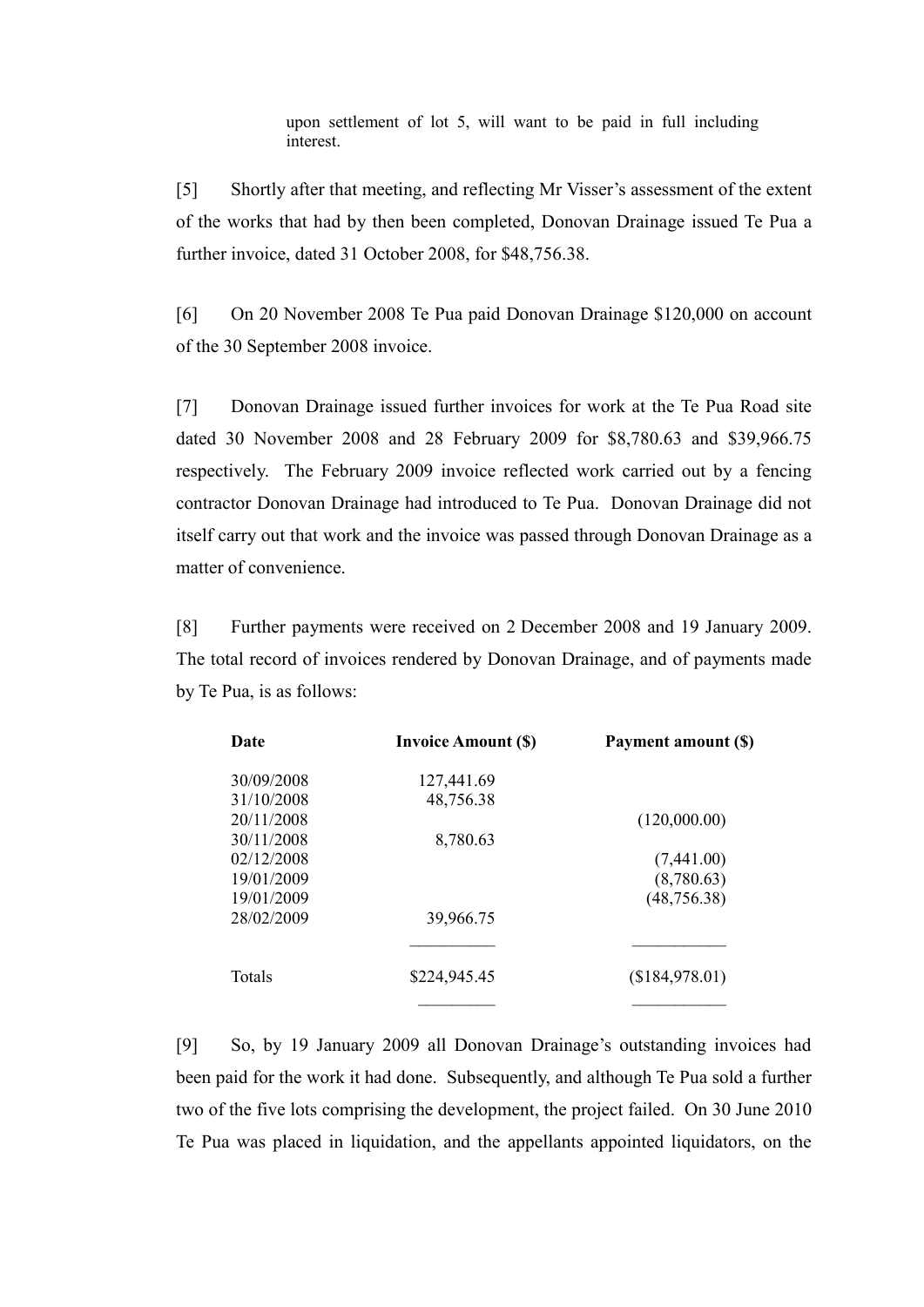upon settlement of lot 5, will want to be paid in full including interest.

[5] Shortly after that meeting, and reflecting Mr Visser's assessment of the extent of the works that had by then been completed, Donovan Drainage issued Te Pua a further invoice, dated 31 October 2008, for \$48,756.38.

[6] On 20 November 2008 Te Pua paid Donovan Drainage \$120,000 on account of the 30 September 2008 invoice.

[7] Donovan Drainage issued further invoices for work at the Te Pua Road site dated 30 November 2008 and 28 February 2009 for \$8,780.63 and \$39,966.75 respectively. The February 2009 invoice reflected work carried out by a fencing contractor Donovan Drainage had introduced to Te Pua. Donovan Drainage did not itself carry out that work and the invoice was passed through Donovan Drainage as a matter of convenience.

[8] Further payments were received on 2 December 2008 and 19 January 2009. The total record of invoices rendered by Donovan Drainage, and of payments made by Te Pua, is as follows:

| <b>Date</b> | <b>Invoice Amount (\$)</b> | Payment amount (\$) |
|-------------|----------------------------|---------------------|
| 30/09/2008  | 127,441.69                 |                     |
| 31/10/2008  | 48,756.38                  |                     |
| 20/11/2008  |                            | (120,000.00)        |
| 30/11/2008  | 8,780.63                   |                     |
| 02/12/2008  |                            | (7,441.00)          |
| 19/01/2009  |                            | (8,780.63)          |
| 19/01/2009  |                            | (48, 756.38)        |
| 28/02/2009  | 39,966.75                  |                     |
|             |                            |                     |
| Totals      | \$224,945.45               | (\$184,978.01)      |
|             |                            |                     |

[9] So, by 19 January 2009 all Donovan Drainage's outstanding invoices had been paid for the work it had done. Subsequently, and although Te Pua sold a further two of the five lots comprising the development, the project failed. On 30 June 2010 Te Pua was placed in liquidation, and the appellants appointed liquidators, on the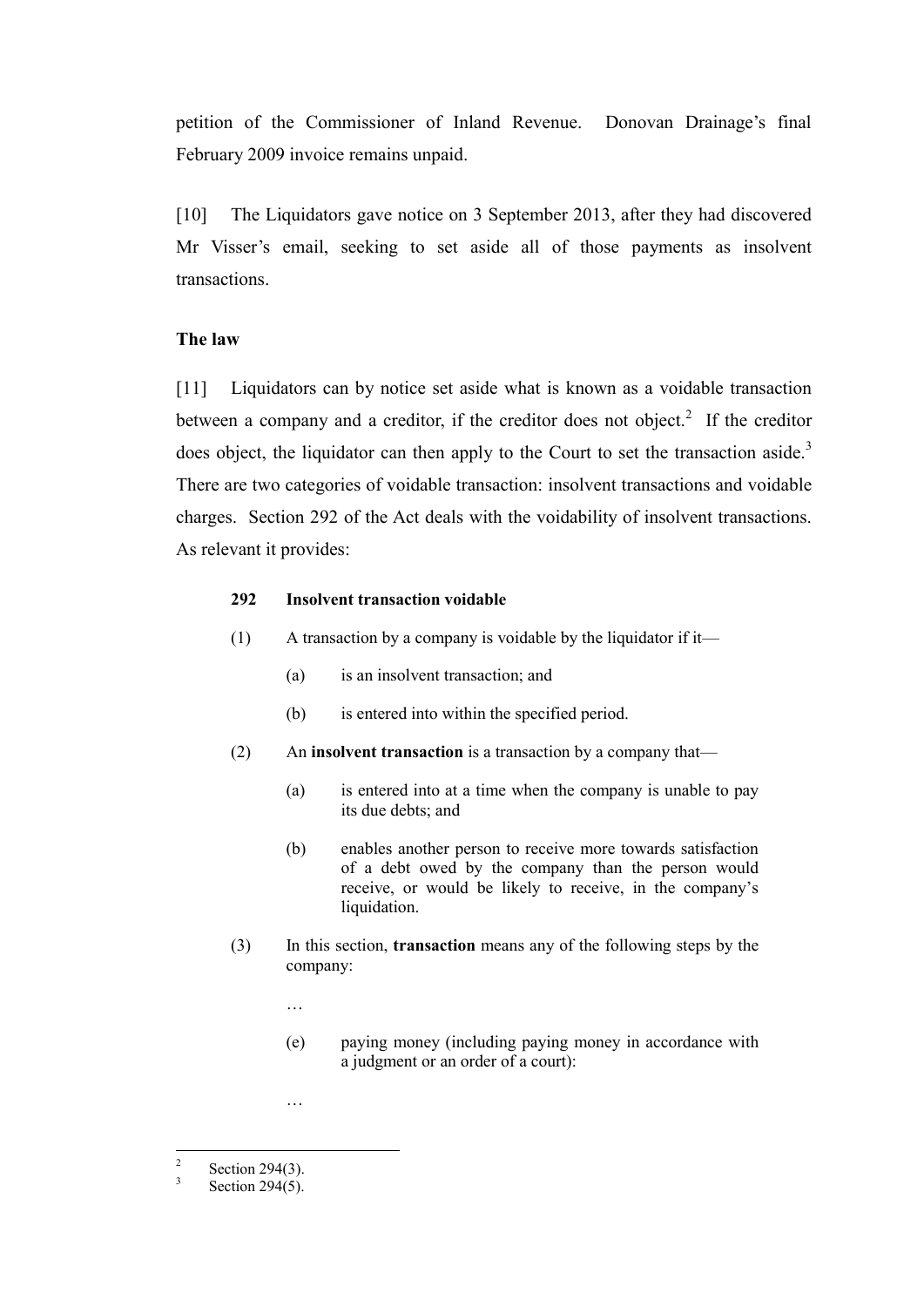petition of the Commissioner of Inland Revenue. Donovan Drainage's final February 2009 invoice remains unpaid.

[10] The Liquidators gave notice on 3 September 2013, after they had discovered Mr Visser's email, seeking to set aside all of those payments as insolvent transactions.

## **The law**

[11] Liquidators can by notice set aside what is known as a voidable transaction between a company and a creditor, if the creditor does not object.<sup>2</sup> If the creditor does object, the liquidator can then apply to the Court to set the transaction aside.<sup>3</sup> There are two categories of voidable transaction: insolvent transactions and voidable charges. Section 292 of the Act deals with the voidability of insolvent transactions. As relevant it provides:

### **292 Insolvent transaction voidable**

- (1) A transaction by a company is voidable by the liquidator if it—
	- (a) is an insolvent transaction; and
	- (b) is entered into within the specified period.
- (2) An **insolvent transaction** is a transaction by a company that—
	- (a) is entered into at a time when the company is unable to pay its due debts; and
	- (b) enables another person to receive more towards satisfaction of a debt owed by the company than the person would receive, or would be likely to receive, in the company's liquidation.
- (3) In this section, **transaction** means any of the following steps by the company:
	- …

…

(e) paying money (including paying money in accordance with a judgment or an order of a court):

 $\frac{1}{2}$ Section 294(3).

<sup>3</sup> Section 294(5).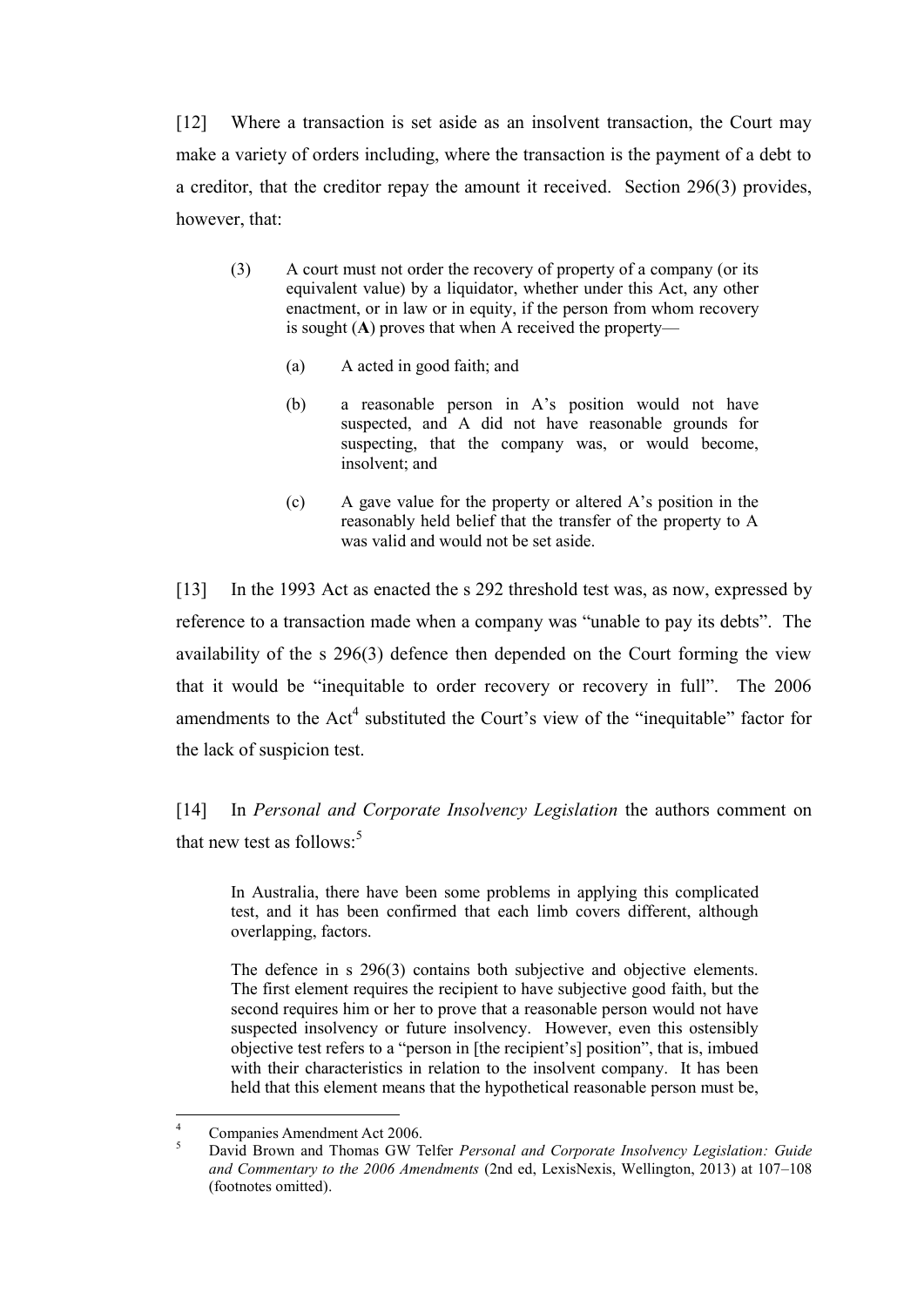[12] Where a transaction is set aside as an insolvent transaction, the Court may make a variety of orders including, where the transaction is the payment of a debt to a creditor, that the creditor repay the amount it received. Section 296(3) provides, however, that:

- (3) A court must not order the recovery of property of a company (or its equivalent value) by a liquidator, whether under this Act, any other enactment, or in law or in equity, if the person from whom recovery is sought (**A**) proves that when A received the property—
	- (a) A acted in good faith; and
	- (b) a reasonable person in A's position would not have suspected, and A did not have reasonable grounds for suspecting, that the company was, or would become, insolvent; and
	- (c) A gave value for the property or altered A's position in the reasonably held belief that the transfer of the property to A was valid and would not be set aside.

[13] In the 1993 Act as enacted the s 292 threshold test was, as now, expressed by reference to a transaction made when a company was "unable to pay its debts". The availability of the s 296(3) defence then depended on the Court forming the view that it would be "inequitable to order recovery or recovery in full". The 2006 amendments to the  $Act<sup>4</sup>$  substituted the Court's view of the "inequitable" factor for the lack of suspicion test.

[14] In *Personal and Corporate Insolvency Legislation* the authors comment on that new test as follows: $5$ 

In Australia, there have been some problems in applying this complicated test, and it has been confirmed that each limb covers different, although overlapping, factors.

The defence in s 296(3) contains both subjective and objective elements. The first element requires the recipient to have subjective good faith, but the second requires him or her to prove that a reasonable person would not have suspected insolvency or future insolvency. However, even this ostensibly objective test refers to a "person in [the recipient's] position", that is, imbued with their characteristics in relation to the insolvent company. It has been held that this element means that the hypothetical reasonable person must be,

 $\overline{4}$  $^{4}$  Companies Amendment Act 2006.

<sup>5</sup> David Brown and Thomas GW Telfer *Personal and Corporate Insolvency Legislation: Guide and Commentary to the 2006 Amendments* (2nd ed, LexisNexis, Wellington, 2013) at 107–108 (footnotes omitted).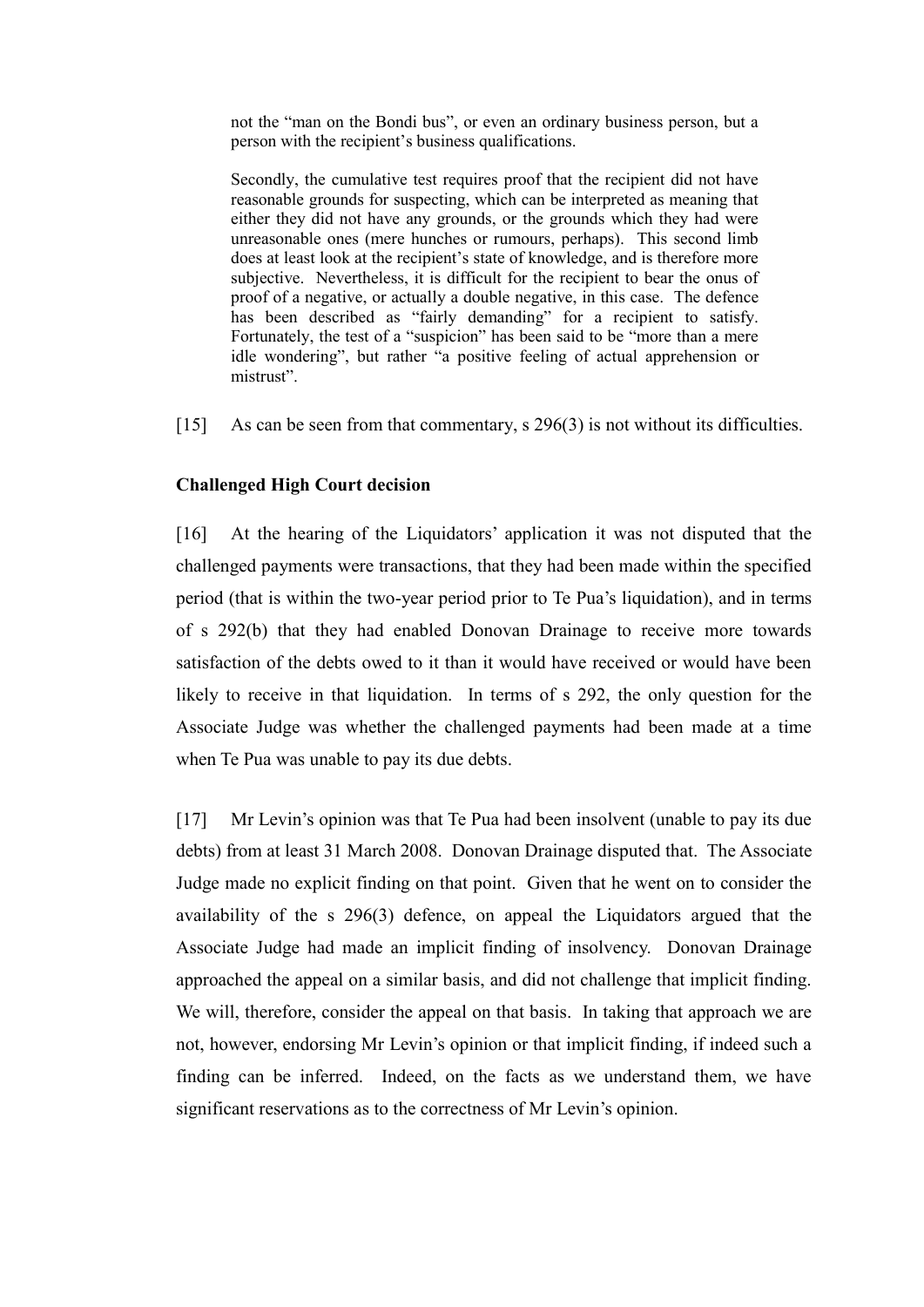not the "man on the Bondi bus", or even an ordinary business person, but a person with the recipient's business qualifications.

Secondly, the cumulative test requires proof that the recipient did not have reasonable grounds for suspecting, which can be interpreted as meaning that either they did not have any grounds, or the grounds which they had were unreasonable ones (mere hunches or rumours, perhaps). This second limb does at least look at the recipient's state of knowledge, and is therefore more subjective. Nevertheless, it is difficult for the recipient to bear the onus of proof of a negative, or actually a double negative, in this case. The defence has been described as "fairly demanding" for a recipient to satisfy. Fortunately, the test of a "suspicion" has been said to be "more than a mere idle wondering", but rather "a positive feeling of actual apprehension or mistrust".

[15] As can be seen from that commentary, s 296(3) is not without its difficulties.

## **Challenged High Court decision**

[16] At the hearing of the Liquidators' application it was not disputed that the challenged payments were transactions, that they had been made within the specified period (that is within the two-year period prior to Te Pua's liquidation), and in terms of s 292(b) that they had enabled Donovan Drainage to receive more towards satisfaction of the debts owed to it than it would have received or would have been likely to receive in that liquidation. In terms of s 292, the only question for the Associate Judge was whether the challenged payments had been made at a time when Te Pua was unable to pay its due debts.

[17] Mr Levin's opinion was that Te Pua had been insolvent (unable to pay its due debts) from at least 31 March 2008. Donovan Drainage disputed that. The Associate Judge made no explicit finding on that point. Given that he went on to consider the availability of the s 296(3) defence, on appeal the Liquidators argued that the Associate Judge had made an implicit finding of insolvency. Donovan Drainage approached the appeal on a similar basis, and did not challenge that implicit finding. We will, therefore, consider the appeal on that basis. In taking that approach we are not, however, endorsing Mr Levin's opinion or that implicit finding, if indeed such a finding can be inferred. Indeed, on the facts as we understand them, we have significant reservations as to the correctness of Mr Levin's opinion.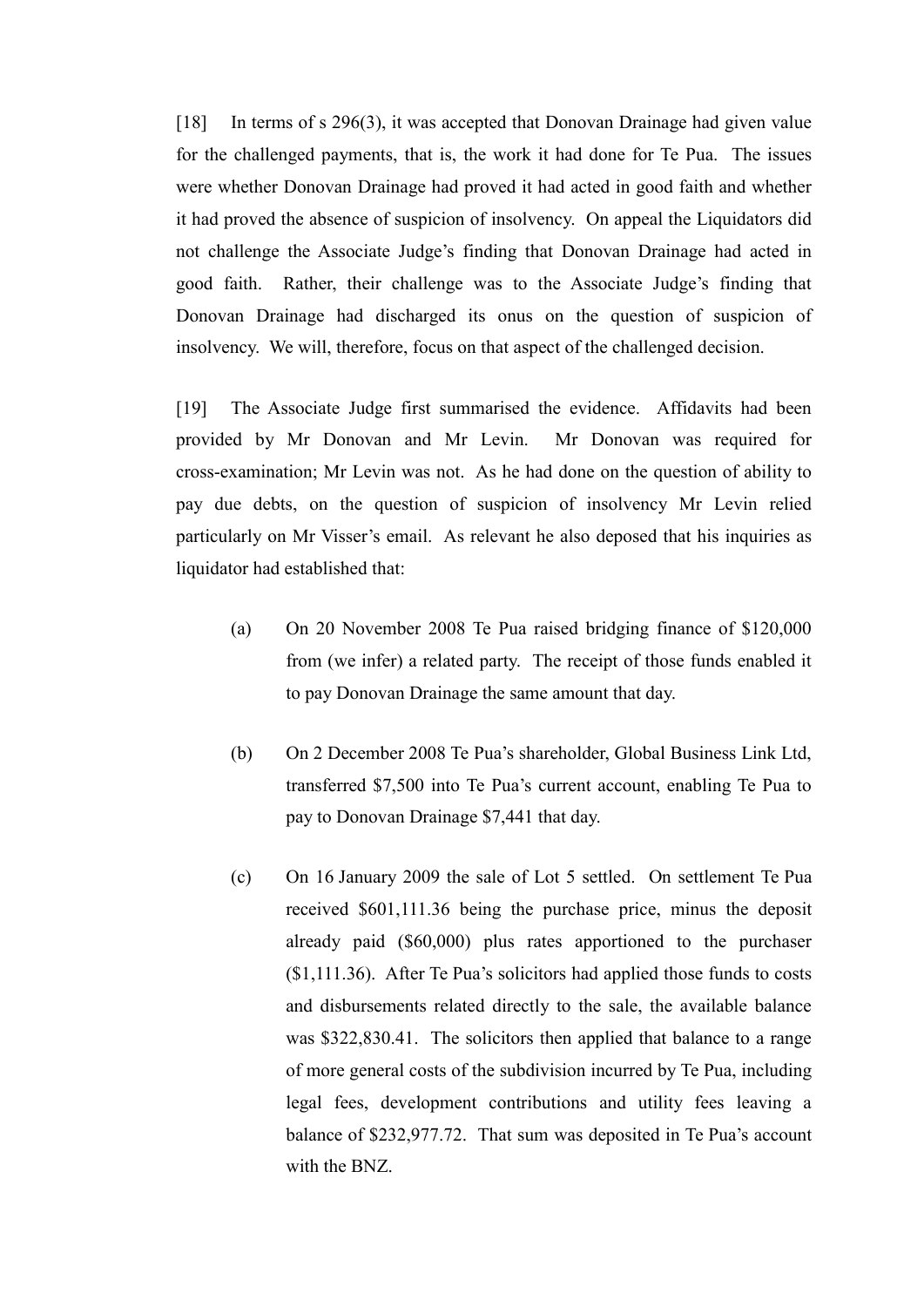[18] In terms of s 296(3), it was accepted that Donovan Drainage had given value for the challenged payments, that is, the work it had done for Te Pua. The issues were whether Donovan Drainage had proved it had acted in good faith and whether it had proved the absence of suspicion of insolvency. On appeal the Liquidators did not challenge the Associate Judge's finding that Donovan Drainage had acted in good faith. Rather, their challenge was to the Associate Judge's finding that Donovan Drainage had discharged its onus on the question of suspicion of insolvency. We will, therefore, focus on that aspect of the challenged decision.

[19] The Associate Judge first summarised the evidence. Affidavits had been provided by Mr Donovan and Mr Levin. Mr Donovan was required for cross-examination; Mr Levin was not. As he had done on the question of ability to pay due debts, on the question of suspicion of insolvency Mr Levin relied particularly on Mr Visser's email. As relevant he also deposed that his inquiries as liquidator had established that:

- (a) On 20 November 2008 Te Pua raised bridging finance of \$120,000 from (we infer) a related party. The receipt of those funds enabled it to pay Donovan Drainage the same amount that day.
- (b) On 2 December 2008 Te Pua's shareholder, Global Business Link Ltd, transferred \$7,500 into Te Pua's current account, enabling Te Pua to pay to Donovan Drainage \$7,441 that day.
- (c) On 16 January 2009 the sale of Lot 5 settled. On settlement Te Pua received \$601,111.36 being the purchase price, minus the deposit already paid (\$60,000) plus rates apportioned to the purchaser (\$1,111.36). After Te Pua's solicitors had applied those funds to costs and disbursements related directly to the sale, the available balance was \$322,830.41. The solicitors then applied that balance to a range of more general costs of the subdivision incurred by Te Pua, including legal fees, development contributions and utility fees leaving a balance of \$232,977.72. That sum was deposited in Te Pua's account with the BNZ.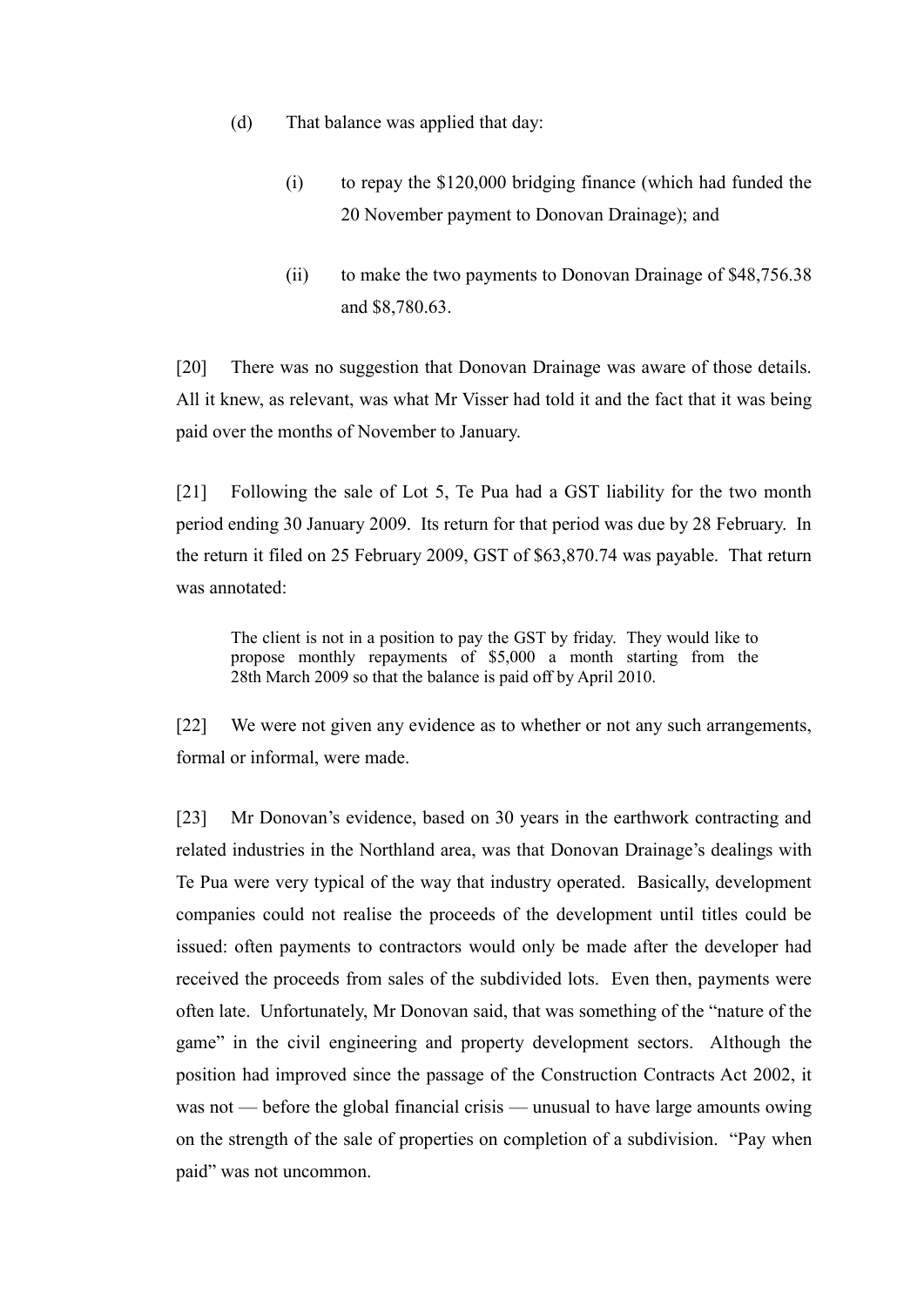- (d) That balance was applied that day:
	- (i) to repay the \$120,000 bridging finance (which had funded the 20 November payment to Donovan Drainage); and
	- (ii) to make the two payments to Donovan Drainage of \$48,756.38 and \$8,780.63.

[20] There was no suggestion that Donovan Drainage was aware of those details. All it knew, as relevant, was what Mr Visser had told it and the fact that it was being paid over the months of November to January.

[21] Following the sale of Lot 5, Te Pua had a GST liability for the two month period ending 30 January 2009. Its return for that period was due by 28 February. In the return it filed on 25 February 2009, GST of \$63,870.74 was payable. That return was annotated:

The client is not in a position to pay the GST by friday. They would like to propose monthly repayments of \$5,000 a month starting from the 28th March 2009 so that the balance is paid off by April 2010.

[22] We were not given any evidence as to whether or not any such arrangements, formal or informal, were made.

[23] Mr Donovan's evidence, based on 30 years in the earthwork contracting and related industries in the Northland area, was that Donovan Drainage's dealings with Te Pua were very typical of the way that industry operated. Basically, development companies could not realise the proceeds of the development until titles could be issued: often payments to contractors would only be made after the developer had received the proceeds from sales of the subdivided lots. Even then, payments were often late. Unfortunately, Mr Donovan said, that was something of the "nature of the game" in the civil engineering and property development sectors. Although the position had improved since the passage of the Construction Contracts Act 2002, it was not — before the global financial crisis — unusual to have large amounts owing on the strength of the sale of properties on completion of a subdivision. "Pay when paid" was not uncommon.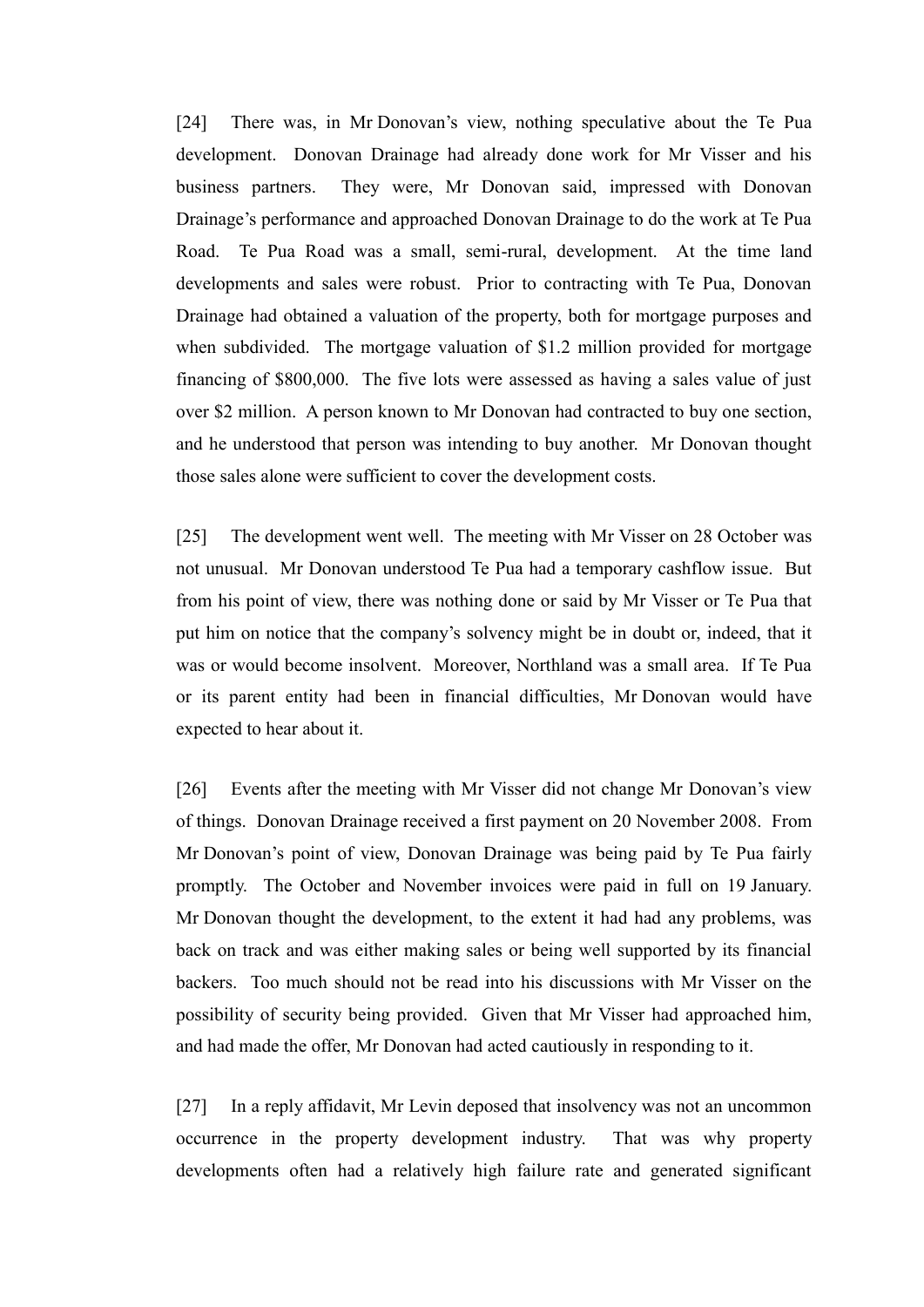[24] There was, in Mr Donovan's view, nothing speculative about the Te Pua development. Donovan Drainage had already done work for Mr Visser and his business partners. They were, Mr Donovan said, impressed with Donovan Drainage's performance and approached Donovan Drainage to do the work at Te Pua Road. Te Pua Road was a small, semi-rural, development. At the time land developments and sales were robust. Prior to contracting with Te Pua, Donovan Drainage had obtained a valuation of the property, both for mortgage purposes and when subdivided. The mortgage valuation of \$1.2 million provided for mortgage financing of \$800,000. The five lots were assessed as having a sales value of just over \$2 million. A person known to Mr Donovan had contracted to buy one section, and he understood that person was intending to buy another. Mr Donovan thought those sales alone were sufficient to cover the development costs.

[25] The development went well. The meeting with Mr Visser on 28 October was not unusual. Mr Donovan understood Te Pua had a temporary cashflow issue. But from his point of view, there was nothing done or said by Mr Visser or Te Pua that put him on notice that the company's solvency might be in doubt or, indeed, that it was or would become insolvent. Moreover, Northland was a small area. If Te Pua or its parent entity had been in financial difficulties, Mr Donovan would have expected to hear about it.

[26] Events after the meeting with Mr Visser did not change Mr Donovan's view of things. Donovan Drainage received a first payment on 20 November 2008. From Mr Donovan's point of view, Donovan Drainage was being paid by Te Pua fairly promptly. The October and November invoices were paid in full on 19 January. Mr Donovan thought the development, to the extent it had had any problems, was back on track and was either making sales or being well supported by its financial backers. Too much should not be read into his discussions with Mr Visser on the possibility of security being provided. Given that Mr Visser had approached him, and had made the offer, Mr Donovan had acted cautiously in responding to it.

[27] In a reply affidavit, Mr Levin deposed that insolvency was not an uncommon occurrence in the property development industry. That was why property developments often had a relatively high failure rate and generated significant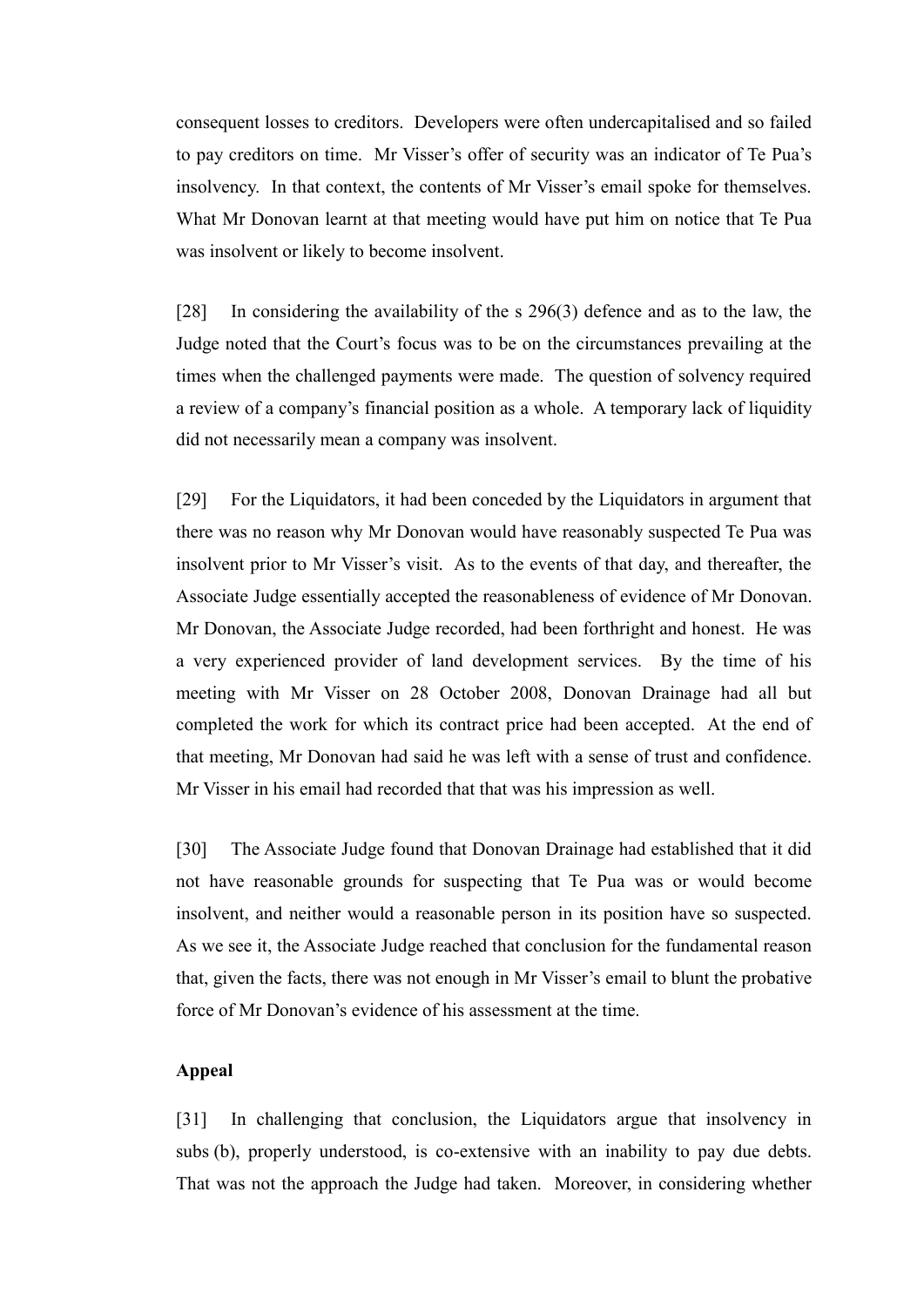consequent losses to creditors. Developers were often undercapitalised and so failed to pay creditors on time. Mr Visser's offer of security was an indicator of Te Pua's insolvency. In that context, the contents of Mr Visser's email spoke for themselves. What Mr Donovan learnt at that meeting would have put him on notice that Te Pua was insolvent or likely to become insolvent.

[28] In considering the availability of the s 296(3) defence and as to the law, the Judge noted that the Court's focus was to be on the circumstances prevailing at the times when the challenged payments were made. The question of solvency required a review of a company's financial position as a whole. A temporary lack of liquidity did not necessarily mean a company was insolvent.

[29] For the Liquidators, it had been conceded by the Liquidators in argument that there was no reason why Mr Donovan would have reasonably suspected Te Pua was insolvent prior to Mr Visser's visit. As to the events of that day, and thereafter, the Associate Judge essentially accepted the reasonableness of evidence of Mr Donovan. Mr Donovan, the Associate Judge recorded, had been forthright and honest. He was a very experienced provider of land development services. By the time of his meeting with Mr Visser on 28 October 2008, Donovan Drainage had all but completed the work for which its contract price had been accepted. At the end of that meeting, Mr Donovan had said he was left with a sense of trust and confidence. Mr Visser in his email had recorded that that was his impression as well.

[30] The Associate Judge found that Donovan Drainage had established that it did not have reasonable grounds for suspecting that Te Pua was or would become insolvent, and neither would a reasonable person in its position have so suspected. As we see it, the Associate Judge reached that conclusion for the fundamental reason that, given the facts, there was not enough in Mr Visser's email to blunt the probative force of Mr Donovan's evidence of his assessment at the time.

### **Appeal**

[31] In challenging that conclusion, the Liquidators argue that insolvency in subs (b), properly understood, is co-extensive with an inability to pay due debts. That was not the approach the Judge had taken. Moreover, in considering whether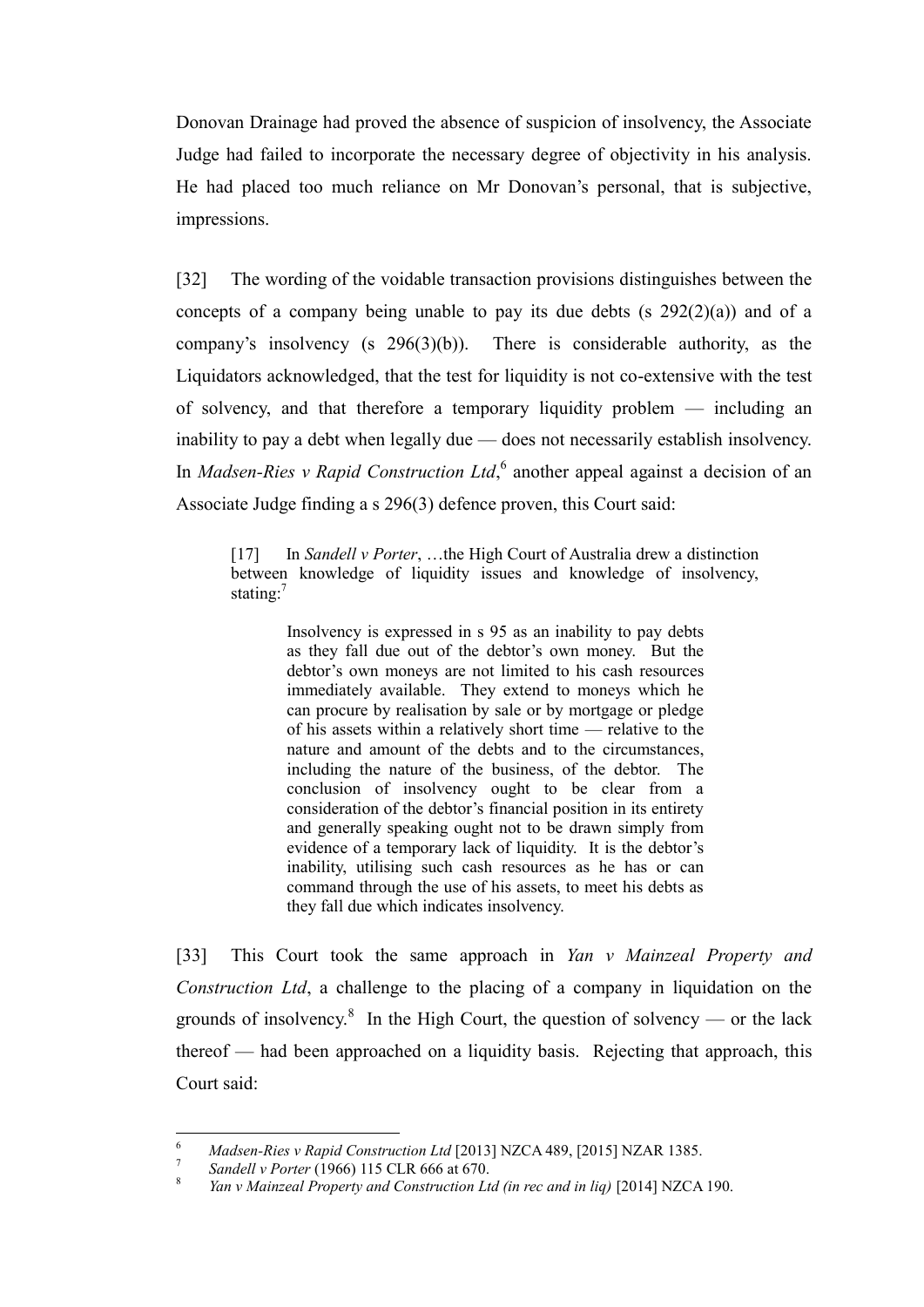Donovan Drainage had proved the absence of suspicion of insolvency, the Associate Judge had failed to incorporate the necessary degree of objectivity in his analysis. He had placed too much reliance on Mr Donovan's personal, that is subjective, impressions.

[32] The wording of the voidable transaction provisions distinguishes between the concepts of a company being unable to pay its due debts  $(s 292(2)(a))$  and of a company's insolvency (s 296(3)(b)). There is considerable authority, as the Liquidators acknowledged, that the test for liquidity is not co-extensive with the test of solvency, and that therefore a temporary liquidity problem — including an inability to pay a debt when legally due — does not necessarily establish insolvency. In *Madsen-Ries v Rapid Construction Ltd*,<sup>6</sup> another appeal against a decision of an Associate Judge finding a s 296(3) defence proven, this Court said:

[17] In *Sandell v Porter*, …the High Court of Australia drew a distinction between knowledge of liquidity issues and knowledge of insolvency, stating: $<sup>7</sup>$ </sup>

> <span id="page-11-1"></span><span id="page-11-0"></span>Insolvency is expressed in s 95 as an inability to pay debts as they fall due out of the debtor's own money. But the debtor's own moneys are not limited to his cash resources immediately available. They extend to moneys which he can procure by realisation by sale or by mortgage or pledge of his assets within a relatively short time — relative to the nature and amount of the debts and to the circumstances, including the nature of the business, of the debtor. The conclusion of insolvency ought to be clear from a consideration of the debtor's financial position in its entirety and generally speaking ought not to be drawn simply from evidence of a temporary lack of liquidity. It is the debtor's inability, utilising such cash resources as he has or can command through the use of his assets, to meet his debts as they fall due which indicates insolvency.

[33] This Court took the same approach in *Yan v Mainzeal Property and Construction Ltd*, a challenge to the placing of a company in liquidation on the grounds of insolvency. $8$  In the High Court, the question of solvency — or the lack thereof — had been approached on a liquidity basis. Rejecting that approach, this Court said:

 $\overline{a}$ 

<sup>6</sup> *Madsen-Ries v Rapid Construction Ltd* [2013] NZCA 489, [2015] NZAR 1385.

<sup>7</sup> *Sandell v Porter* (1966) 115 CLR 666 at 670.

<sup>8</sup> *Yan v Mainzeal Property and Construction Ltd (in rec and in liq)* [2014] NZCA 190.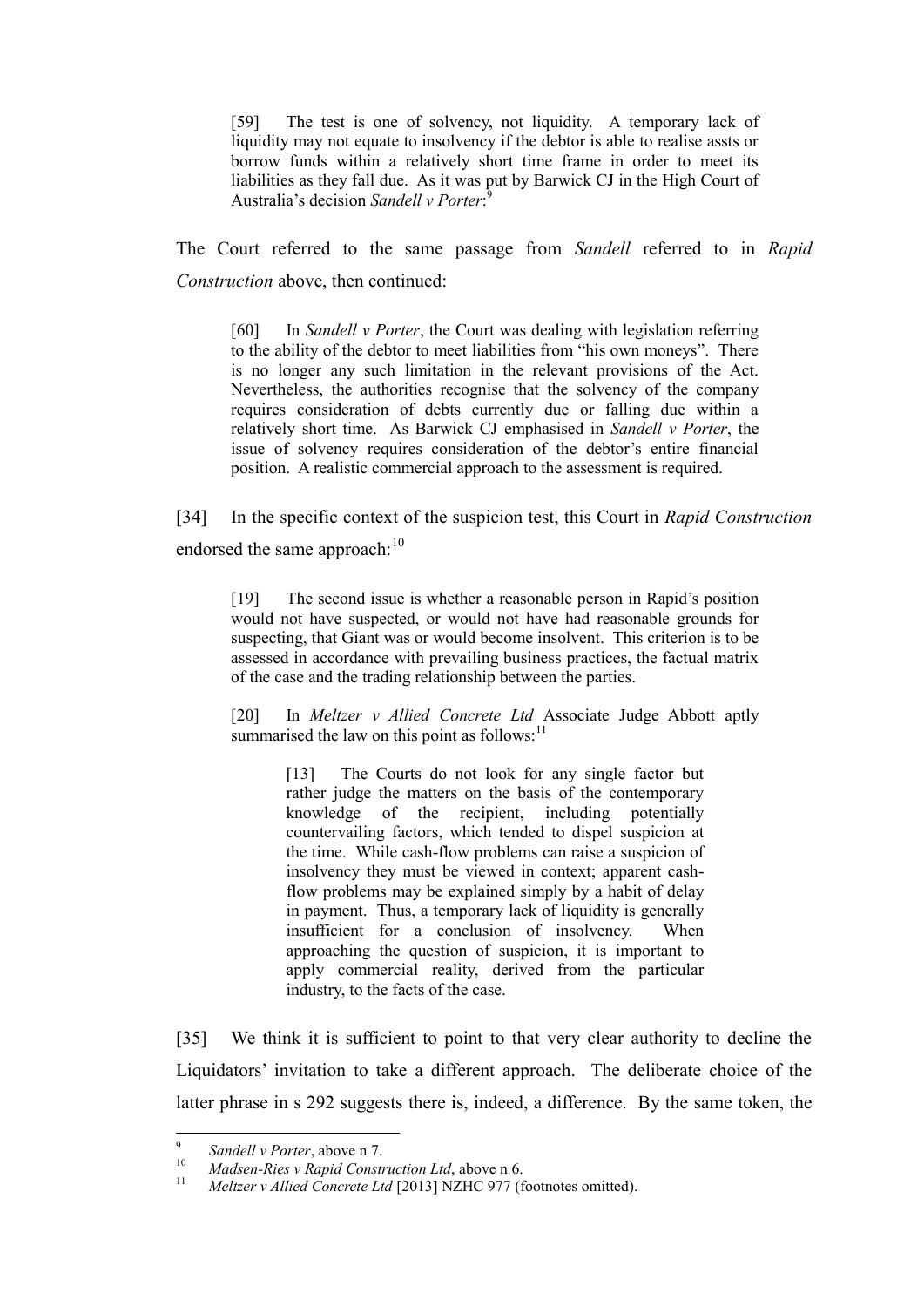[59] The test is one of solvency, not liquidity. A temporary lack of liquidity may not equate to insolvency if the debtor is able to realise assts or borrow funds within a relatively short time frame in order to meet its liabilities as they fall due. As it was put by Barwick CJ in the High Court of Australia's decision *Sandell v Porter*: 9

The Court referred to the same passage from *Sandell* referred to in *Rapid Construction* above, then continued:

[60] In *Sandell v Porter*, the Court was dealing with legislation referring to the ability of the debtor to meet liabilities from "his own moneys". There is no longer any such limitation in the relevant provisions of the Act. Nevertheless, the authorities recognise that the solvency of the company requires consideration of debts currently due or falling due within a relatively short time. As Barwick CJ emphasised in *Sandell v Porter*, the issue of solvency requires consideration of the debtor's entire financial position. A realistic commercial approach to the assessment is required.

[34] In the specific context of the suspicion test, this Court in *Rapid Construction* endorsed the same approach: $10$ 

[19] The second issue is whether a reasonable person in Rapid's position would not have suspected, or would not have had reasonable grounds for suspecting, that Giant was or would become insolvent. This criterion is to be assessed in accordance with prevailing business practices, the factual matrix of the case and the trading relationship between the parties.

[20] In *Meltzer v Allied Concrete Ltd* Associate Judge Abbott aptly summarised the law on this point as follows: $11$ 

> [13] The Courts do not look for any single factor but rather judge the matters on the basis of the contemporary knowledge of the recipient, including potentially countervailing factors, which tended to dispel suspicion at the time. While cash-flow problems can raise a suspicion of insolvency they must be viewed in context; apparent cashflow problems may be explained simply by a habit of delay in payment. Thus, a temporary lack of liquidity is generally insufficient for a conclusion of insolvency. When approaching the question of suspicion, it is important to apply commercial reality, derived from the particular industry, to the facts of the case.

[35] We think it is sufficient to point to that very clear authority to decline the Liquidators' invitation to take a different approach. The deliberate choice of the latter phrase in s 292 suggests there is, indeed, a difference. By the same token, the

<sup>-&</sup>lt;br>9 *Sandell v Porter*, above n [7.](#page-11-0)

<sup>10</sup> *Madsen-Ries v Rapid Construction Ltd*, above [n 6.](#page-11-1)

<sup>11</sup> *Meltzer v Allied Concrete Ltd* [2013] NZHC 977 (footnotes omitted).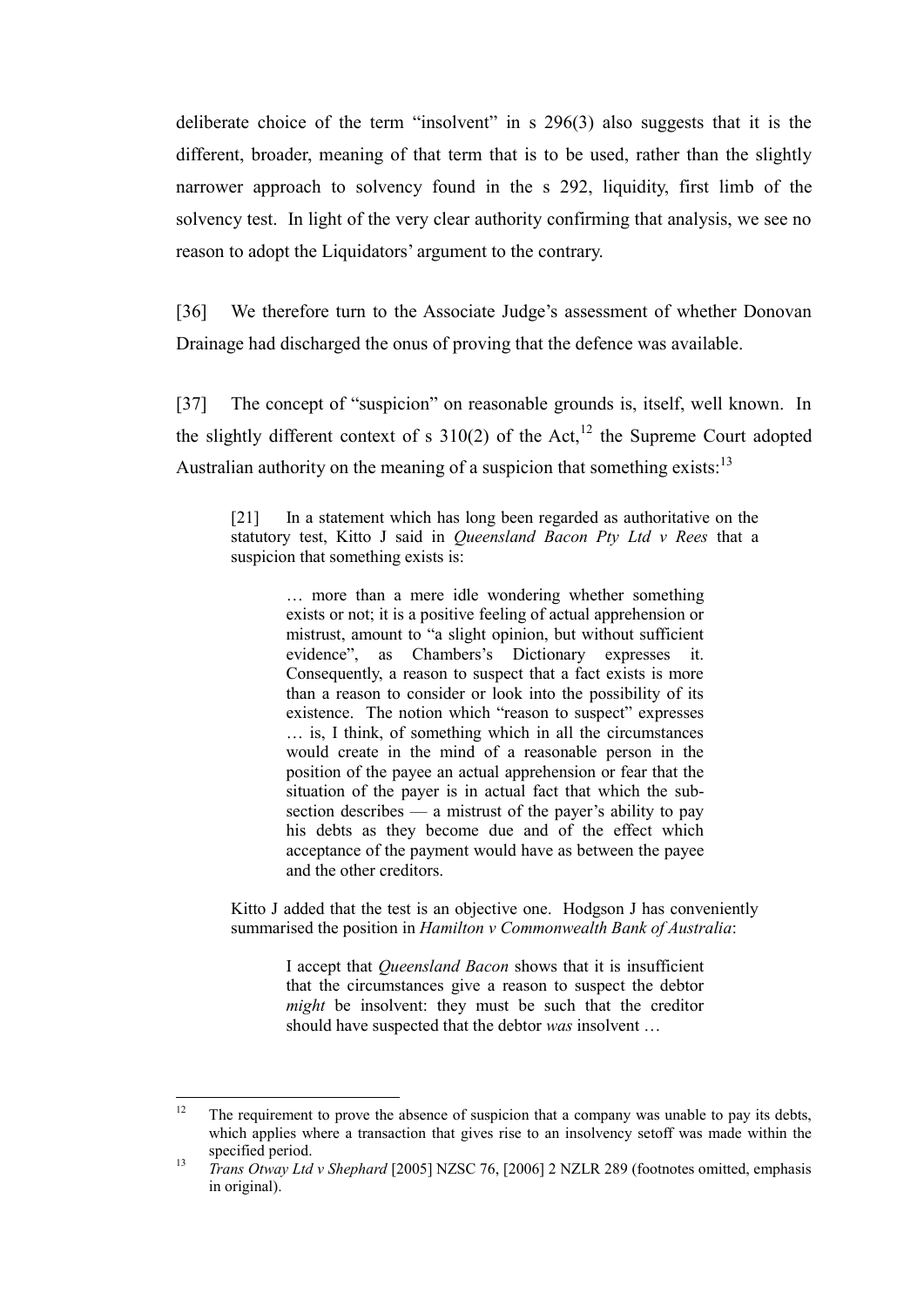deliberate choice of the term "insolvent" in s 296(3) also suggests that it is the different, broader, meaning of that term that is to be used, rather than the slightly narrower approach to solvency found in the s 292, liquidity, first limb of the solvency test. In light of the very clear authority confirming that analysis, we see no reason to adopt the Liquidators' argument to the contrary.

[36] We therefore turn to the Associate Judge's assessment of whether Donovan Drainage had discharged the onus of proving that the defence was available.

[37] The concept of "suspicion" on reasonable grounds is, itself, well known. In the slightly different context of s  $310(2)$  of the Act,<sup>12</sup> the Supreme Court adopted Australian authority on the meaning of a suspicion that something exists:  $13$ 

[21] In a statement which has long been regarded as authoritative on the statutory test, Kitto J said in *Queensland Bacon Pty Ltd v Rees* that a suspicion that something exists is:

> … more than a mere idle wondering whether something exists or not; it is a positive feeling of actual apprehension or mistrust, amount to "a slight opinion, but without sufficient evidence", as Chambers's Dictionary expresses it. Consequently, a reason to suspect that a fact exists is more than a reason to consider or look into the possibility of its existence. The notion which "reason to suspect" expresses … is, I think, of something which in all the circumstances would create in the mind of a reasonable person in the position of the payee an actual apprehension or fear that the situation of the payer is in actual fact that which the subsection describes — a mistrust of the payer's ability to pay his debts as they become due and of the effect which acceptance of the payment would have as between the payee and the other creditors.

Kitto J added that the test is an objective one. Hodgson J has conveniently summarised the position in *Hamilton v Commonwealth Bank of Australia*:

> I accept that *Queensland Bacon* shows that it is insufficient that the circumstances give a reason to suspect the debtor *might* be insolvent: they must be such that the creditor should have suspected that the debtor *was* insolvent …

 $12$ <sup>12</sup> The requirement to prove the absence of suspicion that a company was unable to pay its debts, which applies where a transaction that gives rise to an insolvency setoff was made within the specified period.

<sup>13</sup> *Trans Otway Ltd v Shephard* [2005] NZSC 76, [2006] 2 NZLR 289 (footnotes omitted, emphasis in original).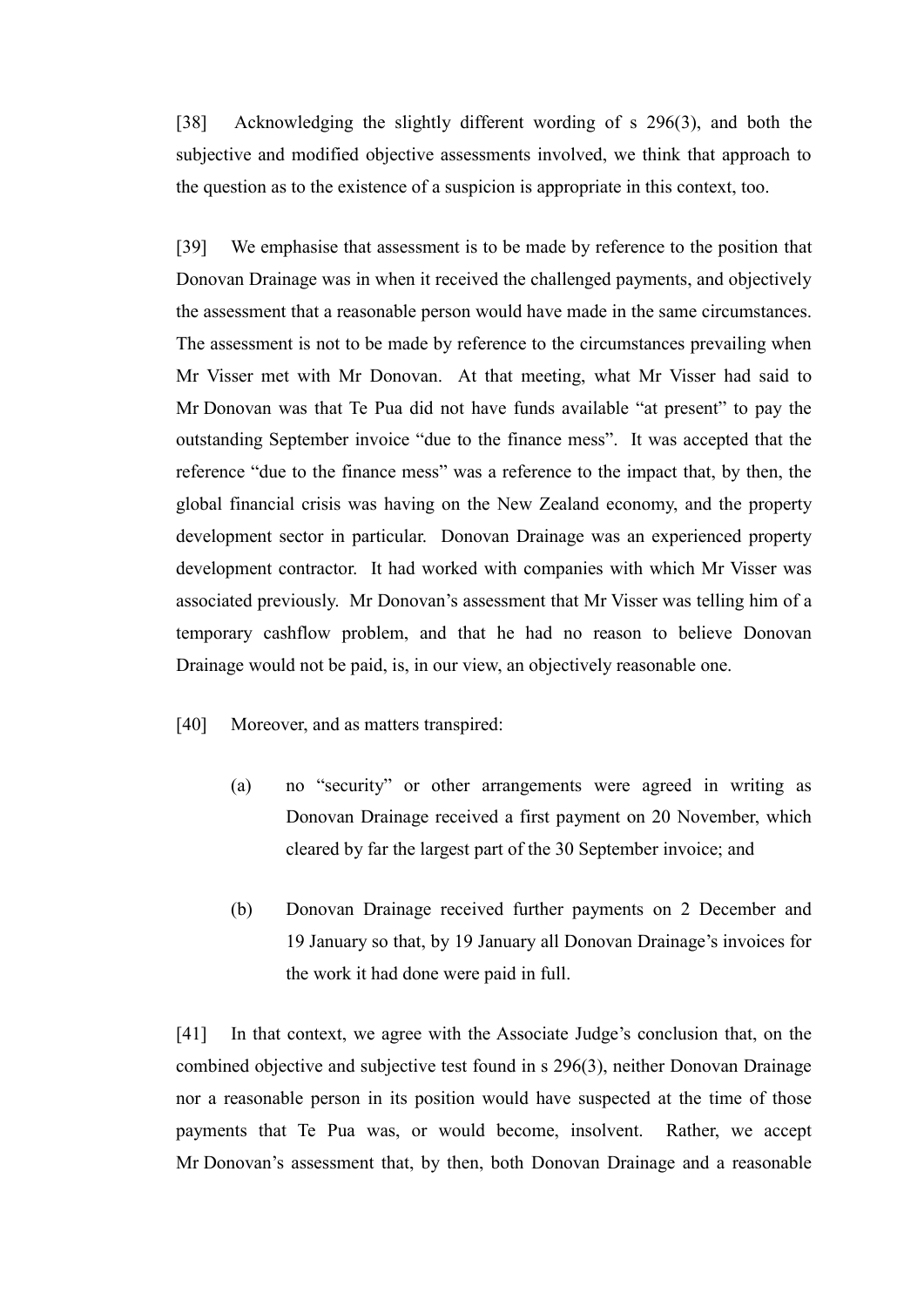[38] Acknowledging the slightly different wording of s 296(3), and both the subjective and modified objective assessments involved, we think that approach to the question as to the existence of a suspicion is appropriate in this context, too.

[39] We emphasise that assessment is to be made by reference to the position that Donovan Drainage was in when it received the challenged payments, and objectively the assessment that a reasonable person would have made in the same circumstances. The assessment is not to be made by reference to the circumstances prevailing when Mr Visser met with Mr Donovan. At that meeting, what Mr Visser had said to Mr Donovan was that Te Pua did not have funds available "at present" to pay the outstanding September invoice "due to the finance mess". It was accepted that the reference "due to the finance mess" was a reference to the impact that, by then, the global financial crisis was having on the New Zealand economy, and the property development sector in particular. Donovan Drainage was an experienced property development contractor. It had worked with companies with which Mr Visser was associated previously. Mr Donovan's assessment that Mr Visser was telling him of a temporary cashflow problem, and that he had no reason to believe Donovan Drainage would not be paid, is, in our view, an objectively reasonable one.

[40] Moreover, and as matters transpired:

- (a) no "security" or other arrangements were agreed in writing as Donovan Drainage received a first payment on 20 November, which cleared by far the largest part of the 30 September invoice; and
- (b) Donovan Drainage received further payments on 2 December and 19 January so that, by 19 January all Donovan Drainage's invoices for the work it had done were paid in full.

[41] In that context, we agree with the Associate Judge's conclusion that, on the combined objective and subjective test found in s 296(3), neither Donovan Drainage nor a reasonable person in its position would have suspected at the time of those payments that Te Pua was, or would become, insolvent. Rather, we accept Mr Donovan's assessment that, by then, both Donovan Drainage and a reasonable